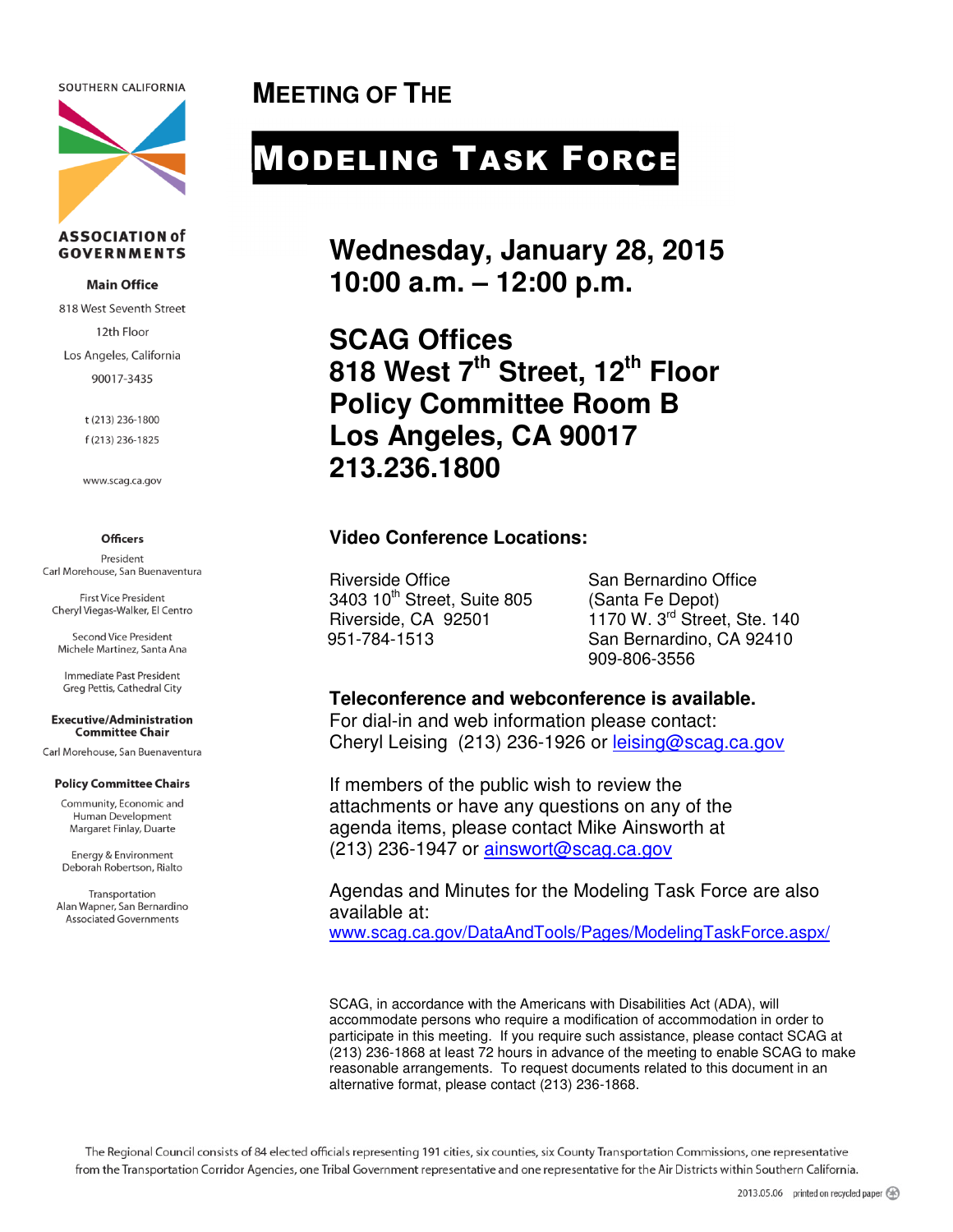SOUTHERN CALIFORNIA



#### **ASSOCIATION of GOVERNMENTS**

#### **Main Office**

818 West Seventh Street 12th Floor Los Angeles, California 90017-3435

> t (213) 236-1800 f (213) 236-1825

www.scag.ca.gov

#### **Officers**

President Carl Morehouse, San Buenaventura

**First Vice President** Cheryl Viegas-Walker, El Centro

Second Vice President Michele Martinez, Santa Ana

Immediate Past President Greg Pettis, Cathedral City

#### **Executive/Administration Committee Chair**

Carl Morehouse, San Buenaventura

#### **Policy Committee Chairs**

Community, Economic and Human Development Margaret Finlay, Duarte

Energy & Environment Deborah Robertson, Rialto

Transportation Alan Wapner, San Bernardino **Associated Governments** 

**MEETING OF THE** 

# MODELING TASK FORCE

**Wednesday, January 28, 2015 10:00 a.m. – 12:00 p.m.** 

**SCAG Offices 818 West 7th Street, 12th Floor Policy Committee Room B Los Angeles, CA 90017 213.236.1800** 

#### **Video Conference Locations:**

Riverside Office San Bernardino Office 3403 10<sup>th</sup> Street, Suite 805 (Santa Fe Depot)<br>Riverside, CA 92501 1170 W, 3<sup>rd</sup> Stree

 $1170$  W. 3<sup>rd</sup> Street, Ste. 140 951-784-1513 San Bernardino, CA 92410 909-806-3556

#### **Teleconference and webconference is available.**

For dial-in and web information please contact: Cheryl Leising (213) 236-1926 or leising@scag.ca.gov

If members of the public wish to review the attachments or have any questions on any of the agenda items, please contact Mike Ainsworth at (213) 236-1947 or ainswort@scag.ca.gov

Agendas and Minutes for the Modeling Task Force are also available at:

www.scag.ca.gov/DataAndTools/Pages/ModelingTaskForce.aspx/

SCAG, in accordance with the Americans with Disabilities Act (ADA), will accommodate persons who require a modification of accommodation in order to participate in this meeting. If you require such assistance, please contact SCAG at (213) 236-1868 at least 72 hours in advance of the meeting to enable SCAG to make reasonable arrangements. To request documents related to this document in an alternative format, please contact (213) 236-1868.

The Regional Council consists of 84 elected officials representing 191 cities, six counties, six County Transportation Commissions, one representative from the Transportation Corridor Agencies, one Tribal Government representative and one representative for the Air Districts within Southern California.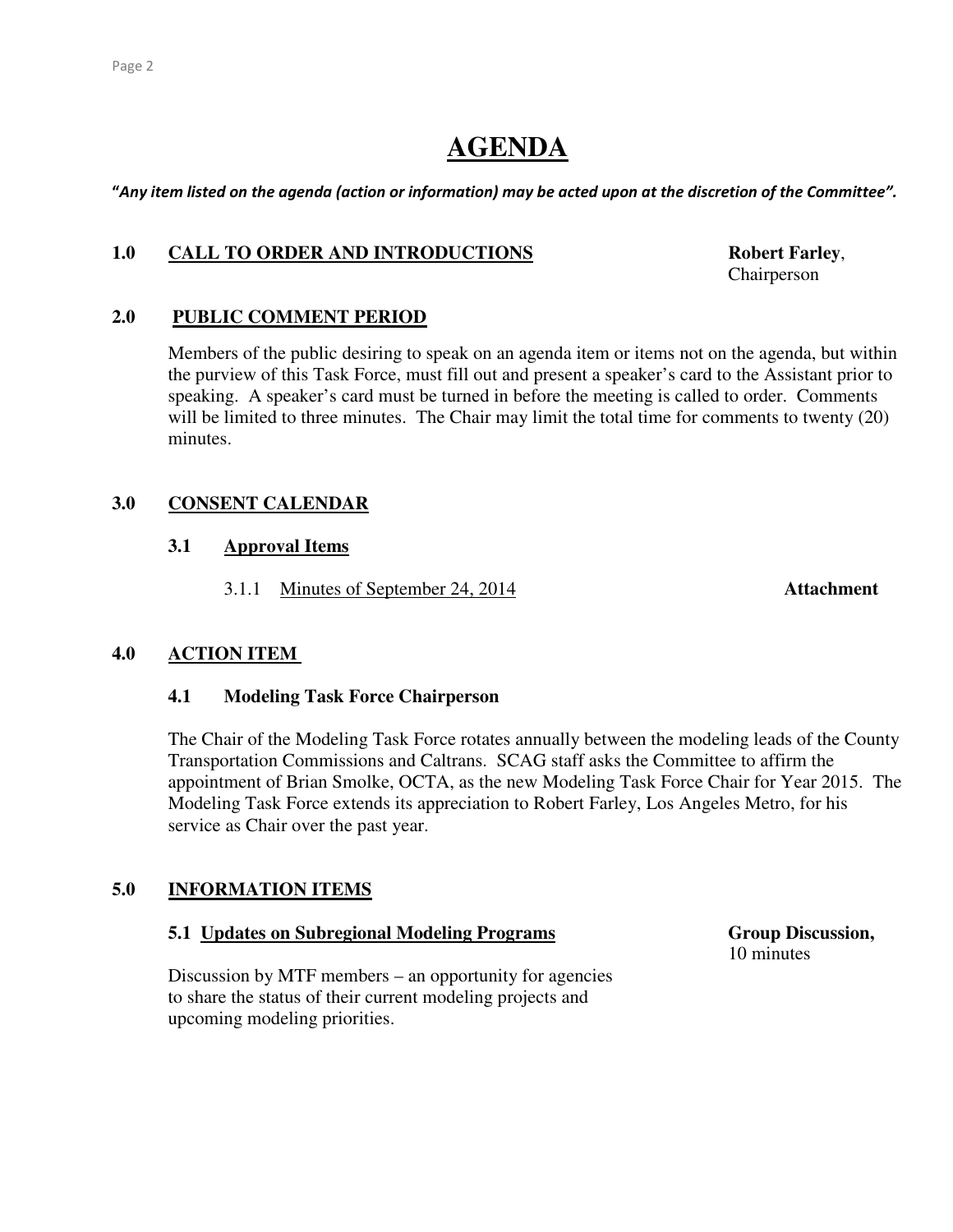## **AGENDA**

"Any item listed on the agenda (action or information) may be acted upon at the discretion of the Committee".

#### 1.0 CALL TO ORDER AND INTRODUCTIONS Robert Farley,

Chairperson

#### **2.0 PUBLIC COMMENT PERIOD**

 Members of the public desiring to speak on an agenda item or items not on the agenda, but within the purview of this Task Force, must fill out and present a speaker's card to the Assistant prior to speaking. A speaker's card must be turned in before the meeting is called to order. Comments will be limited to three minutes. The Chair may limit the total time for comments to twenty (20) minutes.

## **3.0 CONSENT CALENDAR**

#### **3.1 Approval Items**

3.1.1 Minutes of September 24, 2014 **Attachment** 

#### **4.0 ACTION ITEM**

#### **4.1 Modeling Task Force Chairperson**

The Chair of the Modeling Task Force rotates annually between the modeling leads of the County Transportation Commissions and Caltrans. SCAG staff asks the Committee to affirm the appointment of Brian Smolke, OCTA, as the new Modeling Task Force Chair for Year 2015. The Modeling Task Force extends its appreciation to Robert Farley, Los Angeles Metro, for his service as Chair over the past year.

## **5.0 INFORMATION ITEMS**

#### **5.1 Updates on Subregional Modeling Programs Group Discussion,**

 Discussion by MTF members – an opportunity for agencies to share the status of their current modeling projects and upcoming modeling priorities.

10 minutes